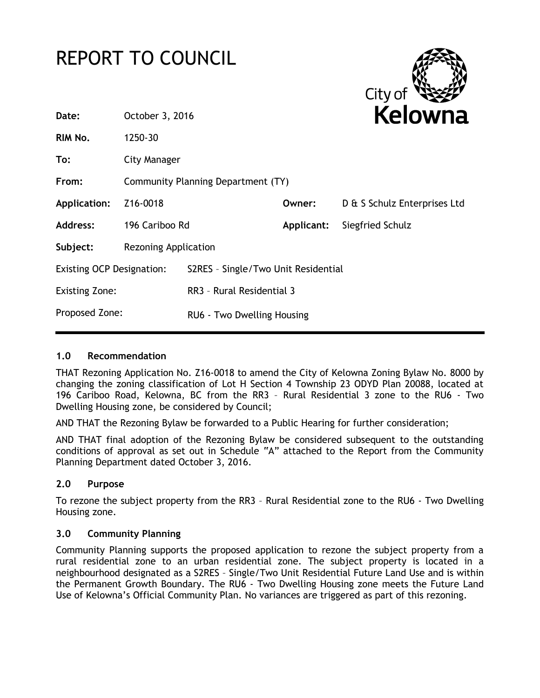# REPORT TO COUNCIL



| Date:                            | October 3, 2016                    |                                     | <b>Kelowna</b> |                              |
|----------------------------------|------------------------------------|-------------------------------------|----------------|------------------------------|
| RIM No.                          | 1250-30                            |                                     |                |                              |
| To:                              | City Manager                       |                                     |                |                              |
| From:                            | Community Planning Department (TY) |                                     |                |                              |
| <b>Application:</b>              | Z16-0018                           |                                     | Owner:         | D & S Schulz Enterprises Ltd |
| <b>Address:</b>                  | 196 Cariboo Rd                     |                                     | Applicant:     | Siegfried Schulz             |
| Subject:                         | <b>Rezoning Application</b>        |                                     |                |                              |
| <b>Existing OCP Designation:</b> |                                    | S2RES - Single/Two Unit Residential |                |                              |
| <b>Existing Zone:</b>            |                                    | RR3 - Rural Residential 3           |                |                              |
| Proposed Zone:                   |                                    | RU6 - Two Dwelling Housing          |                |                              |
|                                  |                                    |                                     |                |                              |

# **1.0 Recommendation**

THAT Rezoning Application No. Z16-0018 to amend the City of Kelowna Zoning Bylaw No. 8000 by changing the zoning classification of Lot H Section 4 Township 23 ODYD Plan 20088, located at 196 Cariboo Road, Kelowna, BC from the RR3 – Rural Residential 3 zone to the RU6 - Two Dwelling Housing zone, be considered by Council;

AND THAT the Rezoning Bylaw be forwarded to a Public Hearing for further consideration;

AND THAT final adoption of the Rezoning Bylaw be considered subsequent to the outstanding conditions of approval as set out in Schedule "A" attached to the Report from the Community Planning Department dated October 3, 2016.

# **2.0 Purpose**

To rezone the subject property from the RR3 – Rural Residential zone to the RU6 - Two Dwelling Housing zone.

#### **3.0 Community Planning**

Community Planning supports the proposed application to rezone the subject property from a rural residential zone to an urban residential zone. The subject property is located in a neighbourhood designated as a S2RES – Single/Two Unit Residential Future Land Use and is within the Permanent Growth Boundary. The RU6 - Two Dwelling Housing zone meets the Future Land Use of Kelowna's Official Community Plan. No variances are triggered as part of this rezoning.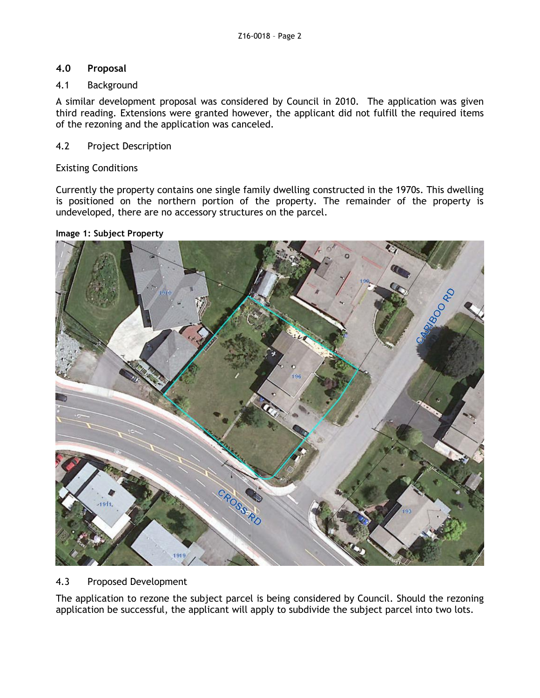# **4.0 Proposal**

## 4.1 Background

A similar development proposal was considered by Council in 2010. The application was given third reading. Extensions were granted however, the applicant did not fulfill the required items of the rezoning and the application was canceled.

## 4.2 Project Description

### Existing Conditions

Currently the property contains one single family dwelling constructed in the 1970s. This dwelling is positioned on the northern portion of the property. The remainder of the property is undeveloped, there are no accessory structures on the parcel.

#### **Image 1: Subject Property**



# 4.3 Proposed Development

The application to rezone the subject parcel is being considered by Council. Should the rezoning application be successful, the applicant will apply to subdivide the subject parcel into two lots.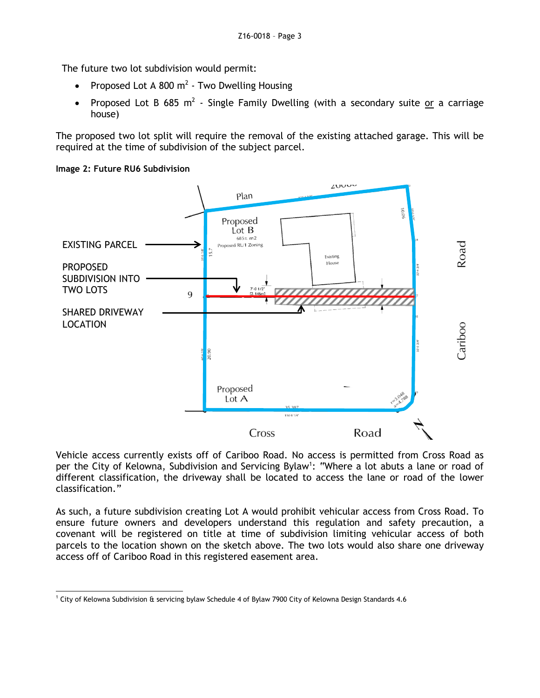The future two lot subdivision would permit:

- Proposed Lot A 800  $m^2$  Two Dwelling Housing
- Proposed Lot B 685 m<sup>2</sup> Single Family Dwelling (with a secondary suite or a carriage house)

The proposed two lot split will require the removal of the existing attached garage. This will be required at the time of subdivision of the subject parcel.





Vehicle access currently exists off of Cariboo Road. No access is permitted from Cross Road as per the City of Kelowna, Subdivision and Servicing Bylaw<sup>1</sup>: "Where a lot abuts a lane or road of different classification, the driveway shall be located to access the lane or road of the lower classification."

As such, a future subdivision creating Lot A would prohibit vehicular access from Cross Road. To ensure future owners and developers understand this regulation and safety precaution, a covenant will be registered on title at time of subdivision limiting vehicular access of both parcels to the location shown on the sketch above. The two lots would also share one driveway access off of Cariboo Road in this registered easement area.

<sup>-</sup><sup>1</sup> City of Kelowna Subdivision & servicing bylaw Schedule 4 of Bylaw 7900 City of Kelowna Design Standards 4.6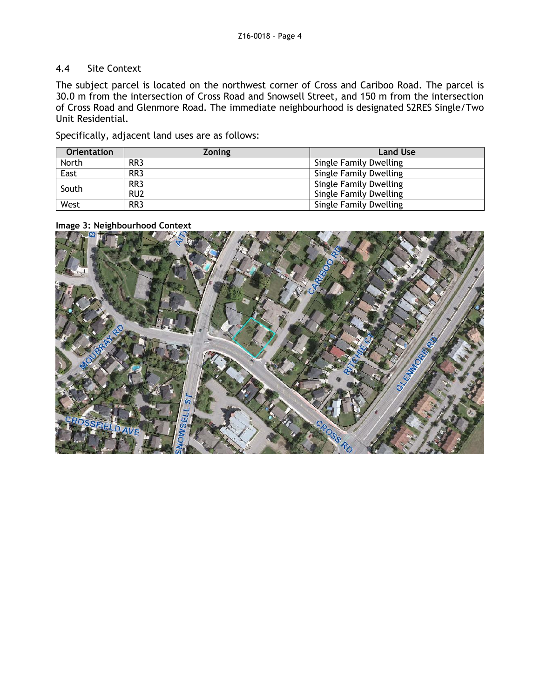# 4.4 Site Context

The subject parcel is located on the northwest corner of Cross and Cariboo Road. The parcel is 30.0 m from the intersection of Cross Road and Snowsell Street, and 150 m from the intersection of Cross Road and Glenmore Road. The immediate neighbourhood is designated S2RES Single/Two Unit Residential.

Specifically, adjacent land uses are as follows:

| <b>Orientation</b> | <b>Zoning</b>   | <b>Land Use</b>               |
|--------------------|-----------------|-------------------------------|
| North              | RR <sub>3</sub> | Single Family Dwelling        |
| East               | RR <sub>3</sub> | Single Family Dwelling        |
| South              | RR <sub>3</sub> | Single Family Dwelling        |
|                    | RU <sub>2</sub> | <b>Single Family Dwelling</b> |
| West               | RR <sub>3</sub> | Single Family Dwelling        |

**Image 3: Neighbourhood Context**

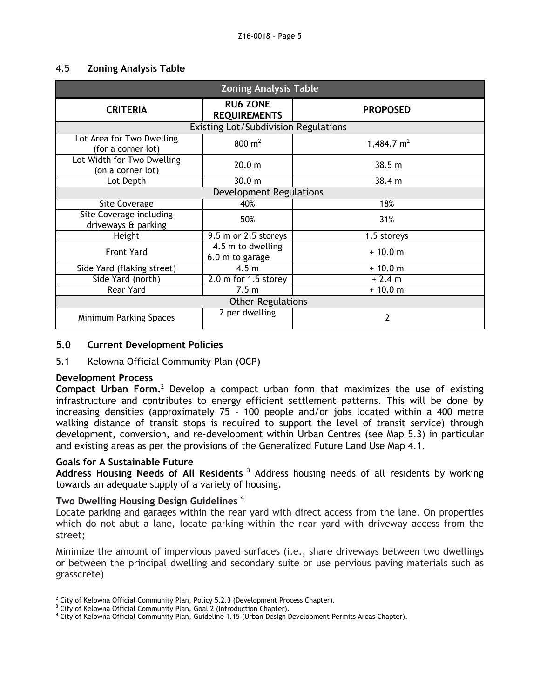## 4.5 **Zoning Analysis Table**

| <b>Zoning Analysis Table</b>                    |                                        |                 |  |  |
|-------------------------------------------------|----------------------------------------|-----------------|--|--|
| <b>CRITERIA</b>                                 | <b>RU6 ZONE</b><br><b>REQUIREMENTS</b> | <b>PROPOSED</b> |  |  |
| <b>Existing Lot/Subdivision Regulations</b>     |                                        |                 |  |  |
| Lot Area for Two Dwelling<br>(for a corner lot) | 800 $m2$                               | 1,484.7 $m2$    |  |  |
| Lot Width for Two Dwelling<br>(on a corner lot) | 20.0 <sub>m</sub>                      | 38.5 m          |  |  |
| Lot Depth                                       | 30.0 <sub>m</sub>                      | 38.4 m          |  |  |
| <b>Development Regulations</b>                  |                                        |                 |  |  |
| Site Coverage                                   | 40%                                    | 18%             |  |  |
| Site Coverage including<br>driveways & parking  | 50%                                    | 31%             |  |  |
| Height                                          | 9.5 m or 2.5 storeys                   | 1.5 storeys     |  |  |
| <b>Front Yard</b>                               | 4.5 m to dwelling<br>6.0 m to garage   | $+10.0 m$       |  |  |
| Side Yard (flaking street)                      | 4.5 <sub>m</sub>                       | $+10.0 m$       |  |  |
| Side Yard (north)                               | $2.0$ m for 1.5 storey                 | $+2.4 m$        |  |  |
| Rear Yard                                       | 7.5 <sub>m</sub>                       | $+10.0 m$       |  |  |
| <b>Other Regulations</b>                        |                                        |                 |  |  |
| Minimum Parking Spaces                          | 2 per dwelling                         | 2               |  |  |

## **5.0 Current Development Policies**

# 5.1 Kelowna Official Community Plan (OCP)

#### **Development Process**

**Compact Urban Form.**<sup>2</sup> Develop a compact urban form that maximizes the use of existing infrastructure and contributes to energy efficient settlement patterns. This will be done by increasing densities (approximately 75 - 100 people and/or jobs located within a 400 metre walking distance of transit stops is required to support the level of transit service) through development, conversion, and re-development within Urban Centres (see Map 5.3) in particular and existing areas as per the provisions of the Generalized Future Land Use Map 4.1.

#### **Goals for A Sustainable Future**

Address Housing Needs of All Residents<sup>3</sup> Address housing needs of all residents by working towards an adequate supply of a variety of housing.

# **Two Dwelling Housing Design Guidelines** <sup>4</sup>

Locate parking and garages within the rear yard with direct access from the lane. On properties which do not abut a lane, locate parking within the rear yard with driveway access from the street;

Minimize the amount of impervious paved surfaces (i.e., share driveways between two dwellings or between the principal dwelling and secondary suite or use pervious paving materials such as grasscrete)

<sup>-</sup> $^2$  City of Kelowna Official Community Plan, Policy 5.2.3 (Development Process Chapter).

<sup>&</sup>lt;sup>3</sup> City of Kelowna Official Community Plan, Goal 2 (Introduction Chapter).

<sup>4</sup> City of Kelowna Official Community Plan, Guideline 1.15 (Urban Design Development Permits Areas Chapter).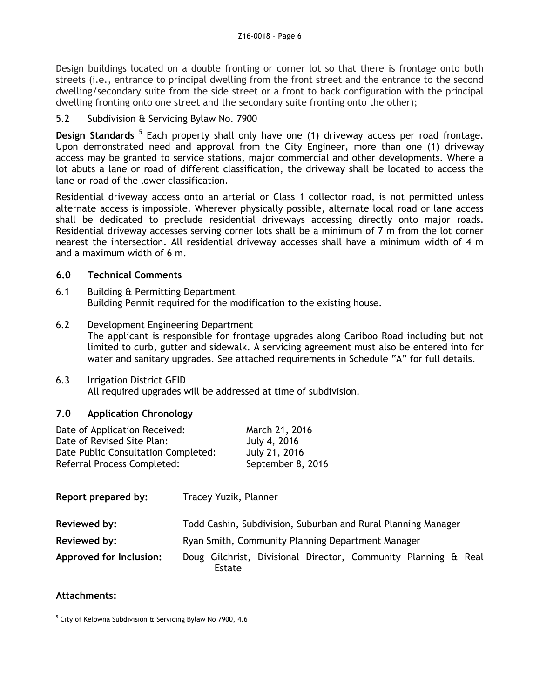Design buildings located on a double fronting or corner lot so that there is frontage onto both streets (i.e., entrance to principal dwelling from the front street and the entrance to the second dwelling/secondary suite from the side street or a front to back configuration with the principal dwelling fronting onto one street and the secondary suite fronting onto the other);

# 5.2 Subdivision & Servicing Bylaw No. 7900

Design Standards<sup>5</sup> Each property shall only have one (1) driveway access per road frontage. Upon demonstrated need and approval from the City Engineer, more than one (1) driveway access may be granted to service stations, major commercial and other developments. Where a lot abuts a lane or road of different classification, the driveway shall be located to access the lane or road of the lower classification.

Residential driveway access onto an arterial or Class 1 collector road, is not permitted unless alternate access is impossible. Wherever physically possible, alternate local road or lane access shall be dedicated to preclude residential driveways accessing directly onto major roads. Residential driveway accesses serving corner lots shall be a minimum of 7 m from the lot corner nearest the intersection. All residential driveway accesses shall have a minimum width of 4 m and a maximum width of 6 m.

# **6.0 Technical Comments**

- 6.1 Building & Permitting Department Building Permit required for the modification to the existing house.
- 6.2 Development Engineering Department The applicant is responsible for frontage upgrades along Cariboo Road including but not limited to curb, gutter and sidewalk. A servicing agreement must also be entered into for water and sanitary upgrades. See attached requirements in Schedule "A" for full details.
- 6.3 Irrigation District GEID All required upgrades will be addressed at time of subdivision.

# **7.0 Application Chronology**

| Date of Application Received:       | March 21, 2016    |
|-------------------------------------|-------------------|
| Date of Revised Site Plan:          | July 4, 2016      |
| Date Public Consultation Completed: | July 21, 2016     |
| Referral Process Completed:         | September 8, 2016 |

| Report prepared by:     | Tracey Yuzik, Planner                                                    |
|-------------------------|--------------------------------------------------------------------------|
| Reviewed by:            | Todd Cashin, Subdivision, Suburban and Rural Planning Manager            |
| Reviewed by:            | Ryan Smith, Community Planning Department Manager                        |
| Approved for Inclusion: | Doug Gilchrist, Divisional Director, Community Planning & Real<br>Estate |

# **Attachments:**

<sup>-</sup><sup>5</sup> City of Kelowna Subdivision & Servicing Bylaw No 7900, 4.6